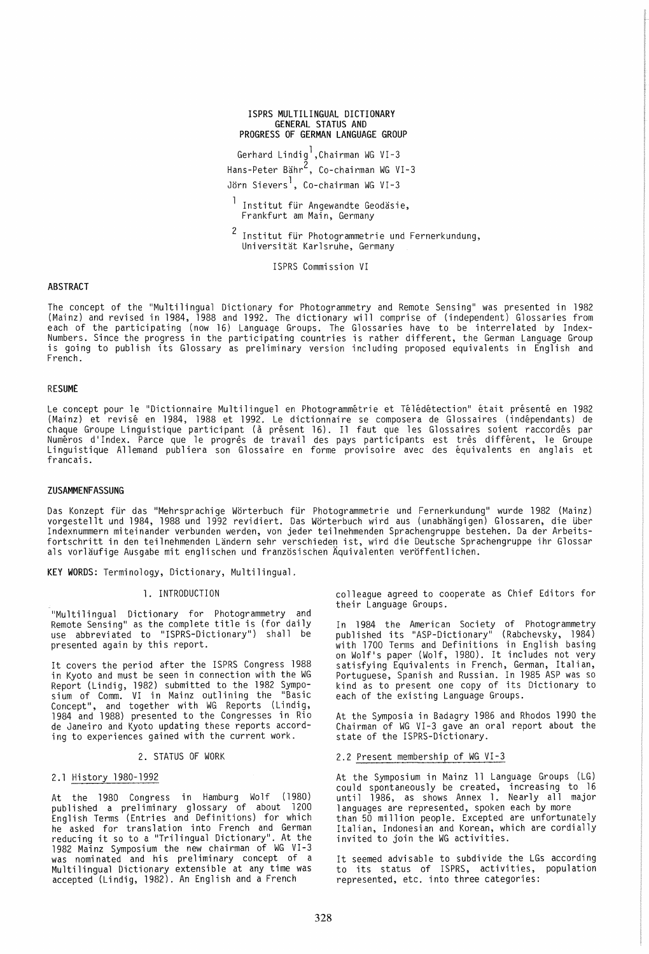#### ISPRS MULTILINGUAL DICTIONARY GENERAL STATUS AND PROGRESS OF GERMAN LANGUAGE GROUP

Gerhard Lindigl,Chairman WG VI-3 Hans-Peter Bahr2, Co-chairman WG VI-3 Jörn Sievers<sup>1</sup>, Co-chairman WG VI-3

<sup>1</sup> Institut für Angewandte Geodäsie, Frankfurt am Main, Germany

 $2$  Institut für Photogrammetrie und Fernerkundung, Universitat Karlsruhe, Germany

ISPRS Commission VI

# ABSTRACT

The concept of the "Multilingual Dictionary for Photogrammetry and Remote Sensing" was presented in 1982 (Mainz) and revised in 1984, 1988 and 1992. The dictionary will comprise of (independent) Glossaries from each of the participating (now 16) Language Groups. The Glossaries have to be interrelated by Index-Numbers. Since the progress in the participating countries is rather different, the German Language Group<br>is going to publish its Glossary as preliminary version including proposed equivalents in English and French.

#### RESUME

Le concept pour le "Dictionnaire Multilinguel en Photogrammétrie et Télédétection" était présenté en 1982 (Mainz) et revise en 1984, 1988 et 1992. Le dictionnaire se composera de Glossaires (independants) de chaque Groupe Linguistique participant (a present 16). 11 faut que les Glossaires soient raccordes par Numéros d'Index. Parce que le progrès de travail des pays participants est très différent, le Groupe<br>Linguistique Allemand publiera son Glossaire en forme provisoire avec des équivalents en anglais et francais.

#### ZUSAMMENFASSUNG

Das Konzept für das "Mehrsprachige Wörterbuch für Photogrammetrie und Fernerkundung" wurde 1982 (Mainz) vorgestellt und 1984, 1988 und 1992 revidiert. Das Worterbuch wird aus (unabhangigen) Glossaren, die Uber Indexnummern miteinander verbunden werden, von jeder teilnehmenden Sprachengruppe bestehen. Da der Arbeitsfortschritt in den teilnehmenden Landern sehr verschieden ist, wird die Deutsche Sprachengruppe ihr Glossar als vor1aufige Ausgabe mit englischen und franzosischen Aquivalenten veroffentlichen.

KEY WORDS: Terminology, Dictionary, Multilingual.

# 1. INTRODUCTION

"Multilingual Dictionary for Photogrammetry and Proto Sensing" as the complete title is (for daily use abbreviated to "ISPRS-Dictionary") shall be presented again by this report.

It covers the period after the ISPRS Congress 1988 in Kyoto and must be seen in connection with the WG Report (Lindig, 1982) submitted to the 1982 Symposium of Comm. VI in Mainz outlining the "Basic Concept", and together with WG Reports (Lindig, 1984 and 1988) presented to the Congresses in Rio de Janeiro and Kyoto updating these reports according to experiences gained with the current work.

#### 2. STATUS OF WORK

# 2.1 History 1980-1992

At the 1980 Congress in Hamburg Wolf (1980) published a preliminary glossary of about 1200 English Terms (Entries and Definitions) for which he asked for translation into French and German<br>reducing it so to a "Trilingual Dictionary". At the 1982 Mainz Symposium the new chairman of WG VI-3<br>was nominated and his preliminary concept of a Multilingual Dictionary extensible at any time was accepted (Lindig, 1982). An English and a French

colleague agreed to cooperate as Chief Editors for their Language Groups.

In 1984 the American Society of Photogrammetry<br>published its "ASP-Dictionary" (Rabchevsky, 1984) with 1700 Terms and Definitions in English basing<br>on Wolf's paper (Wolf, 1980). It includes not very satisfying Equivalents in French, German, Italian, Portuguese, Spanish and Russian. In 1985 ASP was so<br>kind as to present one copy of its Dictionary to each of the existing Language Groups.

At the Symposia in Badagry 1986 and Rhodos 1990 the Chai rman of WG VI -3 gave an oral report about the state of the ISPRS-Dictionary.

# 2.2 Present membership of WG VI-3

At the Symposium in Mainz 11 Language Groups (LG) could spontaneously be created, increasing to 16 until 1986, as shows Annex 1. Nearly all major languages are represented, spoken each by more<br>than 50 million people. Excepted are unfortunately Italian, Indonesian and Korean, which are cordially invited to join the WG activities.

It seemed advisable to subdivide the LGs according to its status of ISPRS, activities, population represented, etc. into three categories: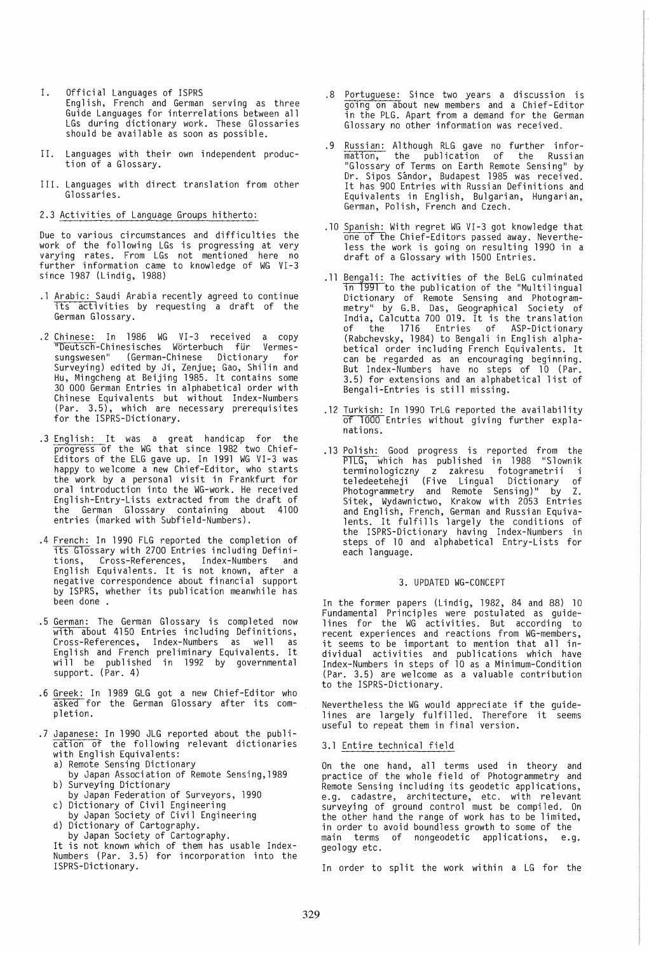- I. Official Languages of ISPRS English, French and German serving as three Guide Languages for interrelations between all LGs during dictionary work. These Glossaries<br>should be available as soon as possible.
- II. Languages with their own independent production of a Glossary.
- III. Languages with direct translation from other Glossaries.

# 2.3 Activities of Language Groups hitherto:

Due to various circumstances and difficulties the work of the following LGs is progressing at very varying rates. From LGs not mentioned here no<br>further information came to knowledge of WG VI-3 since 1987 (Lindig, 1988)

- .1 Arabic: Saudi Arabia recently agreed to continue its activities by requesting a draft of the German Glossary.
- .2 Chinese: In 1986 WG VI-3 received a copy "Deutsch-Chinesisches Wörterbuch für Vermessungswesen" (German-Chinese Dictionary for Surveying) edited by Ji, Zenjue; Gao, Shilin and Hu, Mingcheng at Beijing 1985. It contains some 30 000 German Entries in alphabetical order with Chinese Equivalents but without Index-Numbers (Par. 3.5), which are necessary prerequisites for the ISPRS-Dictionary.
- .3 English: It was a great handicap for the progress of the WG that since 1982 two Chief-Editors of the ELG gave up. In 1991 WG VI-3 was happy to welcome a new Chief-Editor, who starts the work by a personal visit in Frankfurt for oral introduction into the WG-work. He received English-Entry-Lists extracted from the draft of the German Glossary containing about 4100 entries (marked with Subfie1d-Numbers).
- .4 French: In 1990 FLG reported the completion of its Glossary with 2700 Entries including Definitions, Cross-References, Index-Numbers and .<br>English Equivalents. It is not known, after a<br>negative correspondence about financial support negative correspondence about financial support<br>by ISPRS, whether its publication meanwhile has been done .
- .5 German: The German Glossary is completed now<br>with about 4150 Entries including Definitions, Cross-References, Index-Numbers as well as<br>English and French preliminary Equivalents. It will be published in 1992 by governmental support. (Par. 4)
- .6 Greek: In 1989 GLG got a new Chief-Editor who asked for the German Glossary after its com-<br>pletion.
- .7 Japanese: In 1990 JLG reported about the publication of the following relevant dictionaries with English Equivalents:
	- a) Remote Sensing Dictionary
	- by Japan Association of Remote Sensing,1989 b) Surveying Dictionary
	- by Japan Federation of Surveyors, 1990
	- c) Dictionary of Civil Engineering by Japan Society of Civil Engineering
	- d) Dictionary of Cartography.
		- by Japan Society of Cartography.

It is not known which of them has usable Index-Numbers (Par. 3.5) for incorporation into the ISPRS-Dictionary.

- .8 Portuguese: Since two years a discussion is going on about new members and a Chief-Editor in the PLG. Apart from a demand for the German Glossary no other information was received.
- .9 Russian: Although RLG gave no further information, the publication of the Russian "Glossary of Terms on Earth Remote Sensing" by Dr. Sipos Sándor, Budapest 1985 was received.<br>It has 900 Entries with Russian Definitions and Equivalents in English, Bulgarian, Hungarian, German, Polish, French and Czech.
- .10 Spanish: With regret WG VI-3 got knowledge that one of the Chief-Editors passed away. Nevertheless the work is going on resulting 1990 in a draft of a Glossary with 1500 Entries.
- .11 Bengali: The activities of the BeLG culminated ln 1991 to the publication of the "Multilingual Dictionary of Remote Sensing and Photogrammetry" by G.B. Das, Geographical Society of India, Calcutta 700 019. It is the translation of the 1716 Entries of ASP-Dictionary (Rabchevsky, 1984) to Bengali in English alphabetical order including French Equivalents. It<br>can be regarded as an encouraging beginning. But Index-Numbers have no steps of 10 (Par. 3.5) for extensions and an alphabetical list of Bengali-Entries is still missing.
- .12 Turkish: In 1990 TrLG reported the availability of 1000 Entries without giving further expla-<br>nations.
- .13 Polish: Good progress is reported from the P1LG, which has published in 1988 "Slownik terminologiczny z zakresu fotogrametrii i teledeeteheji (Five Lingual Dictionary of Photogrammetry and Remote Sensing)" by Z. Sitek, Wydawnictwo, Krakow with 2053 Entries<br>and English, French, German and Russian Equivalents. It fulfills largely the conditions of the ISPRS-Dictionary having Index-Numbers in steps of 10 and alphabetical Entry-Lists for each language.

## 3. UPDATED WG-CONCEPT

In the former papers (Lindig, 1982, 84 and 88) 10 Fundamental Principles were postulated as guidelines for the WG activities. But according to recent experi ences and reactions from WG-members, it seems to be important to mention that all individual activities and publications which have Index-Numbers in steps of 10 as a Minimum-Condition (Par. 3.5) are welcome as a valuable contribution to the ISPRS-Dictionary .

Nevertheless the WG would appreciate if the guidelines are largely fulfilled. Therefore it seems<br>useful to repeat them in final version.

#### 3.1 Entire technical field

On the one hand, all terms used in theory and practice of the whole field of Photogrammetry and Remote Sensing including its geodetic applications, e.g. cadastre, architecture, etc. with relevant surveying of ground control must be compiled. On the other hand the range of work has to be limited, in order to avoid boundless growth to some of the main terms of nongeodetic applications, e.g. geology etc.

In order to split the work within a LG for the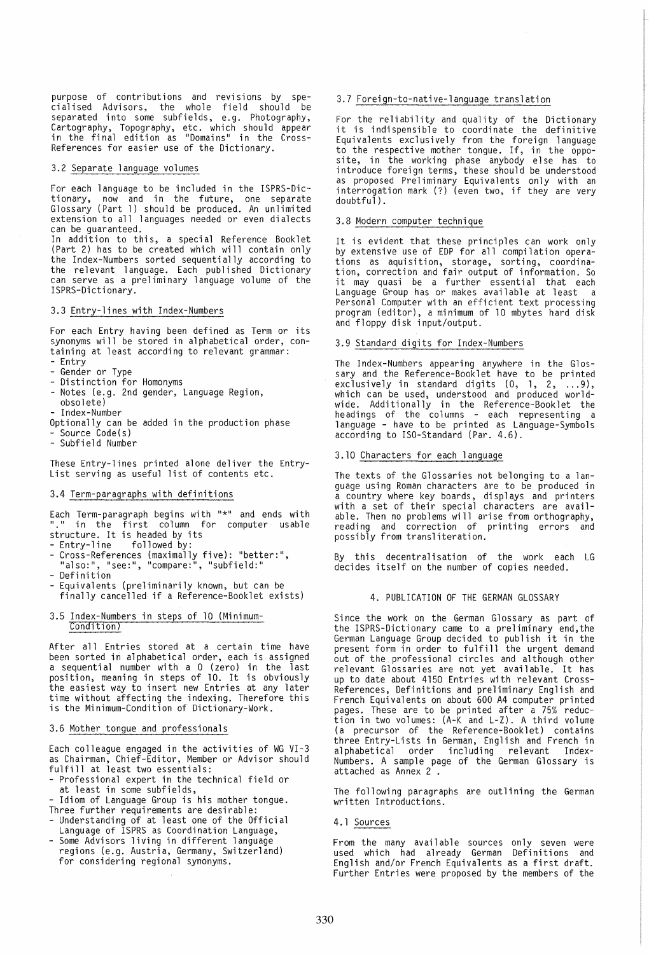purpose of contributions and revisions by specialised Advisors, the whole field should be separated into some subfields, e.g. Photography, Cartography, Topography, etc. which should appear in the final edition as "Domains" in the Cross-References for easier use of the Dictionary.

#### 3.2 Separate language volumes

For each language to be included in the ISPRS-Dictionary, now and in the future, one separate Glossary (Part 1) should be produced. An unlimited extension to all languages needed or even dialects can be guaranteed.

In addition to this, a special Reference Booklet (Part 2) has to be created which will contain only the Index-Numbers sorted sequentially according to the relevant language. Each published Dictionary can serve as a preliminary language volume of the ISPRS-Dictionary.

# 3.3 Entry-lines with Index-Numbers

For each Entry having been defined as Term or its synonyms will be stored in alphabetical order, containing at least according to relevant grammar:<br>- Entry<br>- Gender or Type<br>- Distinction for Homonyms<br>- Notes (e.g. 2nd gender, Language Region,

- 
- 
- 
- 
- obsolete)
- Index-Number
- Optionally can be added in the production phase<br>- Source Code(s)<br>- Subfield Number
- 

These Entry-lines printed alone deliver the Entry-List serving as useful list of contents etc.

# 3.4 Term-paragraphs with definitions

Each Term-paragraph begins with "\*" and ends with "." in the first column for computer usable structure. It is headed by its structure. It is headed by its<br>- Entry-line - followed by:<br>- Cross-References (maximally five): "better:",

- 
- 
- 
- 
- "also:", "see:", "compare:", "subfield:"<br>- Definition<br>- Equivalents (preliminarily known, but can be Equivalents (preliminarily known, but can be<br>finally cancelled if a Reference-Booklet exists)

#### 3.5 Index-Numbers in steps of 10 (Minimum-Condition)

After all Entries stored at a certain time have been sorted in alphabetical order, each is assigned a sequential number with a O (zero) in the last<br>position, meaning in steps of 10. It is obviously the easiest way to insert new Entries at any later time without affecting the indexing. Therefore this is the Minimum-Condition of Dictionary-Work.

## 3.6 Mother tongue and professionals

Each colleague engaged in the activities of WG VI-3 as Chairman, Chief-Editor, Member or Advisor should

- Professional expert in the technical field or
- at least in some subfields,<br>- Idiom of Language Group is his mother tongue.<br>Three further requirements are desirable:
- The further requirements are done of the Official<br>Language of ISPRS as Coordination Language,
- Some Advisors living in different language regions (e.g. Austria, Germany, Switzerland) for considering regional synonyms.

#### 3.7 Foreign-to-native-language translation

For the reliability and quality of the Dictionary it is indispensible to coordinate the definitive Equivalents exclusively from the foreign language to the respective mother tongue. If, in the opposite, in the working phase anybody else has to introduce foreign terms, these should be understood as proposed Preliminary Equivalents only with an interrogation mark (?) (even two, if they are very doubtful).

# 3.8 Modern computer technique

It is evident that these principles can work only by extensive use of EDP for all compilation operations as aquisition, storage, sorting, coordination, correction and fair output of information. So it may quasi be a further essential that each<br>Language Group has or makes available at least a Language Group has or makes available at least Personal Computer with an efficient text processing program (editor), a minimum of 10 mbytes hard disk and floppy disk input/output.

#### 3.9 Standard digits for Index-Numbers

The Index-Numbers appearing anywhere in the Glossary and the Reference-Booklet have to be printed exclusively in standard digits  $(0, 1, 2, \ldots, 9),$ which can be used, understood and produced worldwide. Additionally in the Reference-Booklet the headings of the columns - each representing a language - have to be printed as Language-Symbols according to ISO-Standard (Par. 4.6).

#### 3.10 Characters for each language

The texts of the Glossaries not belonging to a language using Roman characters are to be produced in a country where key boards, displays and printers with a set of their special characters are available. Then no problems will arise from orthography, reading and correction of printing errors and possibly from transliteration.

this decentralisation of the work each LG decides itself on the number of copies needed.

#### 4. PUBLICATION OF THE GERMAN GLOSSARY

Since the work on the German Glossary as part of the ISPRS-Dictionary came to a preliminary end,the German Language Group decided to publish it in the present form in order to fulfill the urgent demand out of the profeSSional circles and although other relevant Glossaries are not yet available. It has up to date about 4150 Entries with relevant Cross-References, Definitions and preliminary English and French Equivalents on about 600 A4 computer printed pages. These are to be printed after a 75% reduction in two volumes: (A-K and L-Z). A third volume (a precursor of the Reference-Booklet) contains three Entry-Lists in German, English and French in alphabetical order including relevant Index-Numbers. A sample page of the German Glossary is attached as Annex 2 .

The following paragraphs are outlining the German written Introductions.

#### 4.1 Sources

From the many available sources only seven were used which had already German Definitions and English and/or French Equivalents as a first draft. Further Entries were proposed by the members of the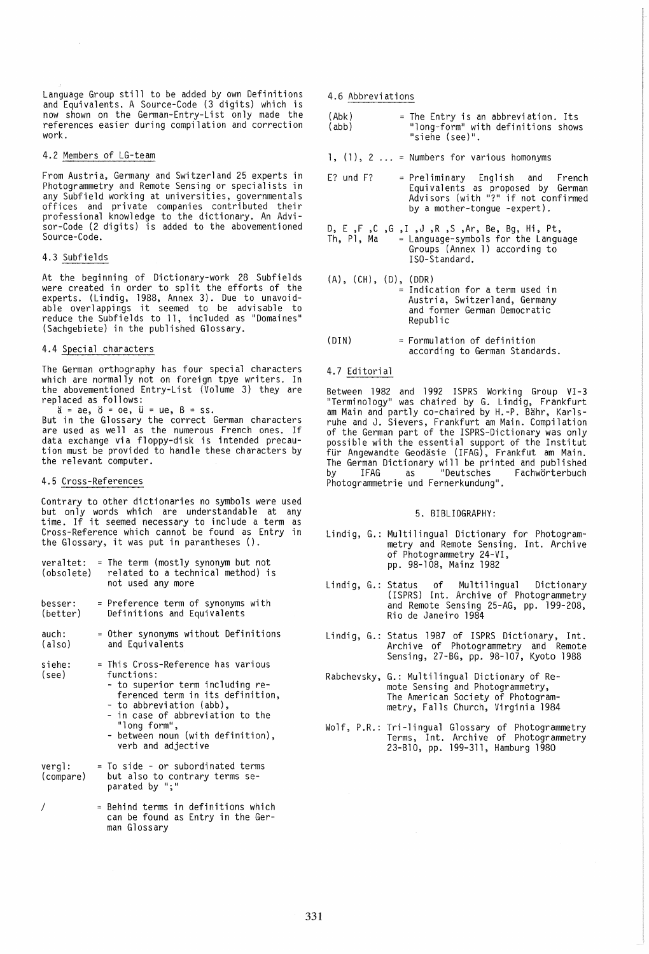Language Group still to be added by own Definitions and Equivalents. A Source-Code (3 digits) which is now shown on the German-Entry-List only made the references easier during compilation and correction work.

## 4.2 Members of LG-team

 $\mathcal{A}$ 

From Austria, Germany and Switzerland 25 experts in Photogrammetry and Remote Sensing or specialists in any Subfield working at universities, governmentals offices and private companies contributed their professional knowledge to the dictionary. An Advisor-Code (2 digits) is added to the abovementioned Source-Code.

# 4.3 Subfields

At the beginning of Dictionary-work 28 Subfields were created in order to split the efforts of the experts. (Lindig, 1988, Annex 3). Due to unavoid-able overlappings it seemed to be advisable to reduce the Subfields to 11, included as "Domaines" (Sachgebiete) in the published Glossary.

# 4.4 Special characters

The German orthography has four special characters which are normally not on foreign tpye writers. In the abovementioned Entry-List (Volume 3) they are replaced as follows:

 $a = ae$ ,  $b = oe$ ,  $u = ue$ ,  $B = ss$ . But in the Glossary the correct German characters are used as well as the numerous French ones. If<br>data exchange via floppy-disk is intended precau-<br>tion must be provided to handle these characters by the relevant computer.

# 4.5 Cross-References

Contrary to other dictionaries no symbols were used but only words which are understandable at any time. If it seemed necessary to include a term as Cross-Reference which cannot be found as Entry in the Glossary, it was put in parantheses ().

- veraltet: = The term (mostly synonym but not<br>(obsolete) related to a technical method) is related to a technical method) is not used any more
- besser: = Preference term of synonyms with (better) Definitions and Equivalents
- auch: (also) Other synonyms without Definitions and Equivalents
- siehe: (see) This Cross-Reference has various functions:
	- to superior term including referenced term in its definition,
	- to abbreviation (abb),
	- in case of abbreviation to the "long form",
	- between noun (with definition), verb and adjective
- vergl: (compare) = To side - or subordinated terms but also to contrary terms separated by ";"
- I = Behind terms in definitions which can be found as Entry in the German Glossary

4.6 Abbreviations

| (Abk) | = The Entry is an abbreviation. Its |
|-------|-------------------------------------|
| (abb) | "long-form" with definitions shows  |
|       | "siehe (see)".                      |

1, (1), 2 Numbers for various homonyms

- E? und F? = Preliminary English and French Equivalents as proposed by German<br>Advisors (with "?" if not confirmed by a mother-tongue -expert).
- D, E ,F ,C ,G ,I ,J ,R ,S ,Ar, Be, Bg, Hi, Pt,  $=$  Language-symbols for the Language Groups (Annex 1) according to ISO-Standard.
- (A), (CH), (D), (DDR) Indication for a term used in Austria, Switzerland, Germany and former German Democratic Republic
- $(DIN)$  = Formulation of definition according to German Standards.

#### 4.7 Editorial

Between 1982 and 1992 ISPRS Working Group VI-3 "Terminology" was chaired by G. Lindig, Frankfurt am Main and partly co-chaired by H.-P. Bahr, Karlsruhe and J. Sievers, Frankfurt am Main. Compilation of the German part of the ISPRS-Dictionary was only possible with the essential support of the Institut für Angewandte Geodäsie (IFAG), Frankfut am Main. The German Dictionary will be printed and published<br>by IFAG as "Deutsches Fachwörterbuch Photogrammetrie und Fernerkundung".

# 5. BIBLIOGRAPHY:

- Lindig, G.: Multilingual Dictionary for Photogrammetry and Remote Sensing. Int. Archive of Photogrammetry 24-VI, pp. 98-108, Mainz 1982
- Lindig, G.: Status of Multilingual Dictionary (ISPRS) Int. Archive of Photogrammetry and Remote Sensing 25-AG, pp. 199-208, Rio de Janeiro 1984
- Lindig, G.: Status 1987 of ISPRS Dictionary, Int. Archive of Photogrammetry and Remote Sensing, 27-BG, pp. 98-107, Kyoto 1988
- Rabchevsky, G.: Multilingual Dictionary of Remote Sensing and Photogrammetry, The American Society of Photogrammetry, Falls Church, Virginia 1984
- Wolf, P.R.: Tr;-lingual Glossary of Photogrammetry Terms, Int. Archive of Photogrammetry 23-B10, pp. 199-311, Hamburg 1980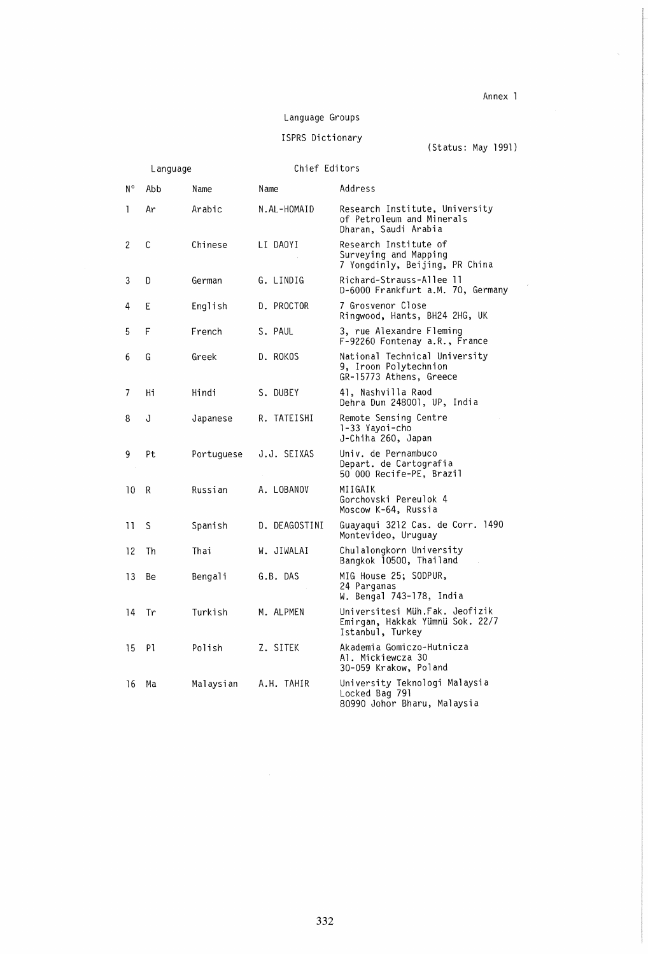# Annex 1

 $\mathcal{A}^{\mathcal{A}}$ 

# Language Groups

ISPRS Dictionary (Status: May 1991)

|    | Language |            | Chief Editors |                                                                                       |
|----|----------|------------|---------------|---------------------------------------------------------------------------------------|
| N° | Abb      | Name       | Name          | Address                                                                               |
| 1  | Ar       | Arabic     | N.AL-HOMAID   | Research Institute, University<br>of Petroleum and Minerals<br>Dharan, Saudi Arabia   |
| 2  | C        | Chinese    | LI DAOYI      | Research Institute of<br>Surveying and Mapping<br>7 Yongdinly, Beijing, PR China      |
| 3  | D        | German     | G. LINDIG     | Richard-Strauss-Allee 11<br>D-6000 Frankfurt a.M. 70, Germany                         |
| 4  | Ε        | English    | D. PROCTOR    | 7 Grosvenor Close<br>Ringwood, Hants, BH24 2HG, UK                                    |
| 5  | F        | French     | S. PAUL       | 3, rue Alexandre Fleming<br>F-92260 Fontenay a.R., France                             |
| 6  | G        | Greek      | D. ROKOS      | National Technical University<br>9, Iroon Polytechnion<br>GR-15773 Athens, Greece     |
| 7  | Hi       | Hindi      | S. DUBEY      | 41, Nashvilla Raod<br>Dehra Dun 248001, UP, India                                     |
| 8  | J        | Japanese   | R. TATEISHI   | Remote Sensing Centre<br>1-33 Yayoi-cho<br>J-Chiha 260, Japan                         |
| 9  | Pt       | Portuguese | J.J. SEIXAS   | Univ. de Pernambuco<br>Depart. de Cartografia<br>50 000 Recife-PE, Brazil             |
| 10 | R        | Russian    | A. LOBANOV    | MIIGAIK<br>Gorchovski Pereulok 4<br>Moscow K-64, Russia                               |
| 11 | S        | Spanish    | D. DEAGOSTINI | Guayaqui 3212 Cas. de Corr. 1490<br>Montevideo, Uruguay                               |
| 12 | Th       | Thai       | W. JIWALAI    | Chulalongkorn University<br>Bangkok 10500, Thailand                                   |
| 13 | Be       | Bengali    | G.B. DAS      | MIG House 25; SODPUR,<br>24 Parganas<br>W. Bengal 743-178, India                      |
| 14 | Tr       | Turkish    | M. ALPMEN     | Universitesi Müh.Fak. Jeofizik<br>Emirgan, Hakkak Yümnü Sok. 22/7<br>Istanbul, Turkey |
| 15 | P1       | Polish     | Z. SITEK      | Akademia Gomiczo-Hutnicza<br>Al. Mickiewcza 30<br>30-059 Krakow, Poland               |
| 16 | Ma       | Malaysian  | A.H. TAHIR    | University Teknologi Malaysia<br>Locked Bag 791<br>80990 Johor Bharu, Malaysia        |